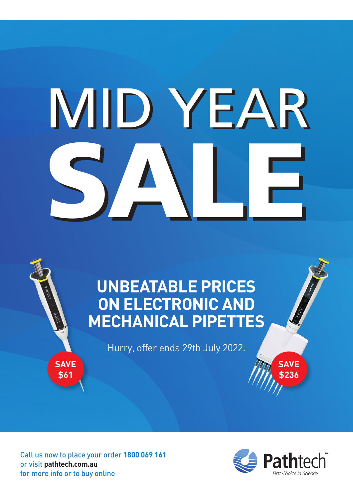# SALE MID YEAR MID YEARSALE

## **UNBEATABLE PRICES ON ELECTRONIC AND MECHANICAL PIPETTES**

Hurry, offer ends 29th July 2022.

Call us now to place your order **1800 069 161** or visit **[pathtech.com.au](https://www.pathtech.com.au)** for more info or to buy online

**SAVE \$61**



**SAVE \$236**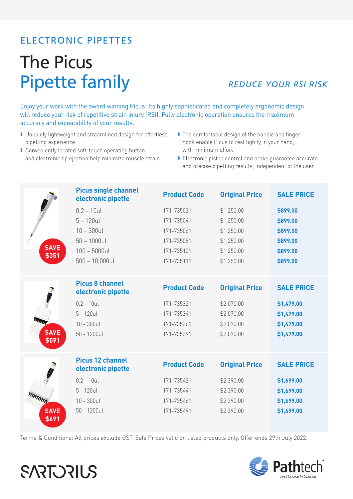#### ELECTRONIC PIPETTES

## The Picus Pipette family

#### *REDUCE YOUR RSI RISK*

Enjoy your work with the award winning Picus! Its highly sophisticated and completely ergonomic design will reduce your risk of repetitive strain injury (RSI). Fully electronic operation ensures the maximum accuracy and repeatability of your results.

- › Uniquely lightweight and streamlined design for effortless pipetting experience
- › Conveniently located soft-touch operating button and electronic tip ejection help minimize muscle strain
- › The comfortable design of the handle and finger hook enable Picus to rest lightly in your hand, with minimum effort
- › Electronic piston control and brake guarantee accurate and precise pipetting results, independent of the user

|                      | <b>Picus single channel</b><br>electronic pipette | <b>Product Code</b> | <b>Original Price</b> | <b>SALE PRICE</b> |
|----------------------|---------------------------------------------------|---------------------|-----------------------|-------------------|
|                      | $0.2 - 10$ ul                                     | 171-735021          | \$1,250.00            | \$899.00          |
|                      | $5 - 120$ ul                                      | 171-735041          | \$1,250.00            | \$899.00          |
|                      | $10 - 300$ ul                                     | 171-735061          | \$1,250.00            | \$899.00          |
|                      | $50 - 1000$ ul                                    | 171-735081          | \$1,250.00            | \$899.00          |
| <b>SAVE</b><br>\$351 | $100 - 5000$ ul                                   | 171-735101          | \$1,250.00            | \$899.00          |
|                      | $500 - 10,000$ ul                                 | 171-735111          | \$1,250.00            | \$899.00          |
|                      |                                                   |                     |                       |                   |
|                      | <b>Picus 8 channel</b><br>electronic pipette      | <b>Product Code</b> | <b>Original Price</b> | <b>SALE PRICE</b> |
|                      | $0.2 - 10$ ul                                     | 171-735321          | \$2,070.00            | \$1,479.00        |
|                      | $5 - 120$ ul                                      | 171-735341          | \$2,070.00            | \$1,479.00        |
|                      | $10 - 300$ ul                                     | 171-735361          | \$2,070.00            | \$1,479.00        |
| <b>SAVE</b>          | $50 - 1200$ ul                                    | 171-735391          | \$2,070.00            | \$1,479.00        |
| \$591                |                                                   |                     |                       |                   |
|                      | <b>Picus 12 channel</b><br>electronic pipette     | <b>Product Code</b> | <b>Original Price</b> | <b>SALE PRICE</b> |
|                      | $0.2 - 10$ ul                                     | 171-735421          | \$2,390.00            | \$1,699.00        |
|                      | $5 - 120$ ul                                      | 171-735441          | \$2,390.00            | \$1,699.00        |
| MMMM                 | $10 - 300$ ul                                     | 171-735461          | \$2,390.00            | \$1,699.00        |
| <b>SAVE</b>          | $50 - 1200$ ul                                    | 171-735491          | \$2,390.00            | \$1,699.00        |
| \$691                |                                                   |                     |                       |                   |

Terms & Conditions: All prices exclude GST. Sale Prices valid on listed products only. Offer ends 29th July 2022.



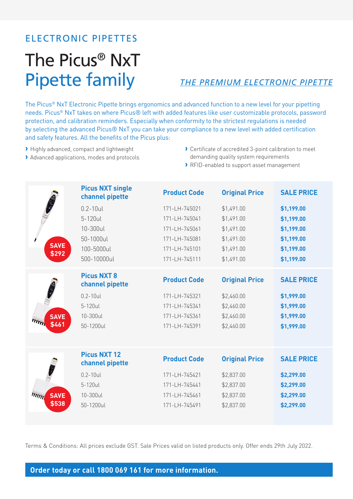### ELECTRONIC PIPETTES

## The Picus® NxT Pipette family

#### *THE PREMIUM ELECTRONIC PIPETTE*

The Picus® NxT Electronic Pipette brings ergonomics and advanced function to a new level for your pipetting needs. Picus® NxT takes on where Picus® left with added features like user customizable protocols, password protection, and calibration reminders. Especially when conformity to the strictest regulations is needed by selecting the advanced Picus® NxT you can take your compliance to a new level with added certification and safety features. All the benefits of the Picus plus:

- › Highly advanced, compact and lightweight
- › Advanced applications, modes and protocols
- › Certificate of accredited 3-point calibration to meet demanding quality system requirements
- › RFID-enabled to support asset management

|                                  | <b>Picus NXT single</b><br>channel pipette | <b>Product Code</b> | <b>Original Price</b> | <b>SALE PRICE</b> |
|----------------------------------|--------------------------------------------|---------------------|-----------------------|-------------------|
|                                  | $0.2 - 10$ ul                              | 171-LH-745021       | \$1,491.00            | \$1,199.00        |
|                                  | 5-120ul                                    | 171-LH-745041       | \$1,491.00            | \$1,199.00        |
|                                  | 10-300ul                                   | 171-LH-745061       | \$1,491.00            | \$1,199.00        |
|                                  | 50-1000ul                                  | 171-LH-745081       | \$1,491.00            | \$1,199.00        |
| <b>SAVE</b><br>\$292             | 100-5000ul                                 | 171-LH-745101       | \$1,491.00            | \$1,199.00        |
|                                  | 500-10000ul                                | 171-LH-745111       | \$1,491.00            | \$1,199.00        |
|                                  | <b>Picus NXT 8</b><br>channel pipette      | <b>Product Code</b> | <b>Original Price</b> | <b>SALE PRICE</b> |
|                                  | $0.2 - 10$ ul                              | 171-LH-745321       | \$2,460.00            | \$1,999.00        |
|                                  | 5-120ul                                    | 171-LH-745341       | \$2,460.00            | \$1,999.00        |
| <b>SAVE</b>                      | 10-300ul                                   | 171-LH-745361       | \$2,460.00            | \$1,999.00        |
| \$461                            | 50-1200ul                                  | 171-LH-745391       | \$2,460.00            | \$1,999.00        |
|                                  |                                            |                     |                       |                   |
|                                  | <b>Picus NXT 12</b><br>channel pipette     | <b>Product Code</b> | <b>Original Price</b> | <b>SALE PRICE</b> |
|                                  | $0.2 - 10$ ul                              | 171-LH-745421       | \$2,837.00            | \$2,299.00        |
|                                  | 5-120ul                                    | 171-LH-745441       | \$2,837.00            | \$2,299.00        |
| <b>SAVE</b><br>$\overline{m}$ את | 10-300ul                                   | 171-LH-745461       | \$2,837.00            | \$2,299.00        |
| \$538                            | 50-1200ul                                  | 171-LH-745491       | \$2,837.00            | \$2,299.00        |
|                                  |                                            |                     |                       |                   |

Terms & Conditions: All prices exclude GST. Sale Prices valid on listed products only. Offer ends 29th July 2022.

#### **Order today or call 1800 069 161 for more information.**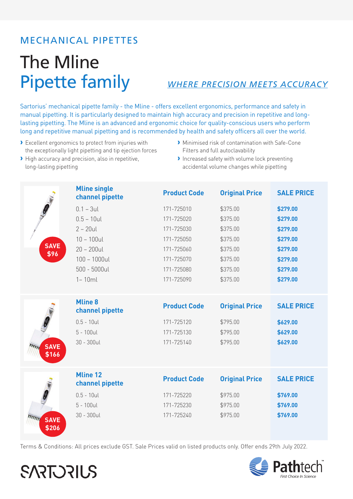## **The Mline Pipette family**

#### **WHERE PRECISION MEETS ACCURACY**

Sartorius' mechanical pipette family - the Mline - offers excellent ergonomics, performance and safety in manual pipetting. It is particularly designed to maintain high accuracy and precision in repetitive and longlasting pipetting. The Mline is an advanced and ergonomic choice for quality-conscious users who perform long and repetitive manual pipetting and is recommended by health and safety officers all over the world.

> Excellent ergonomics to protect from injuries with the exceptionally light pipetting and tip ejection forces

High accuracy and precision, also in repetitive,

long-lasting pipetting

**SARTORILS** 

- Minimised risk of contamination with Safe-Cone Filters and full autoclavability
- Increased safety with volume lock preventing accidental volume changes while pipetting

| O                    | <b>Mline single</b><br>channel pipette | <b>Product Code</b> | <b>Original Price</b> | <b>SALE PRICE</b> |
|----------------------|----------------------------------------|---------------------|-----------------------|-------------------|
|                      | $0.1 - 3$ ul                           | 171-725010          | \$375.00              | \$279.00          |
|                      | $0.5 - 10$ ul                          | 171-725020          | \$375.00              | \$279.00          |
|                      | $2 - 20$ ul                            | 171-725030          | \$375.00              | \$279.00          |
|                      | $10 - 100$ ul                          | 171-725050          | \$375.00              | \$279.00          |
| <b>SAVE</b><br>\$96  | $20 - 200$ ul                          | 171-725060          | \$375.00              | \$279.00          |
|                      | $100 - 1000$ ul                        | 171-725070          | \$375.00              | \$279.00          |
|                      | $500 - 5000$ ul                        | 171-725080          | \$375.00              | \$279.00          |
|                      | $1 - 10ml$                             | 171-725090          | \$375.00              | \$279.00          |
|                      | <b>Mline 8</b><br>channel pipette      | <b>Product Code</b> | <b>Original Price</b> | <b>SALE PRICE</b> |
|                      | $0.5 - 10$ ul                          | 171-725120          | \$795.00              | \$629.00          |
|                      | $5 - 100$ ul                           | 171-725130          | \$795.00              | \$629.00          |
| <b>SAVE</b><br>\$166 | $30 - 300$ ul                          | 171-725140          | \$795.00              | \$629.00          |
|                      | <b>Mline 12</b><br>channel pipette     | <b>Product Code</b> | <b>Original Price</b> | <b>SALE PRICE</b> |
|                      | $0.5 - 10$ ul                          | 171-725220          | \$975.00              | \$769.00          |
|                      | $5 - 100$ ul                           | 171-725230          | \$975.00              | \$769.00          |
| <b>SAVE</b><br>\$206 | $30 - 300$ ul                          | 171-725240          | \$975.00              | \$769.00          |

Terms & Conditions: All prices exclude GST. Sale Prices valid on listed products only. Offer ends 29th July 2022.

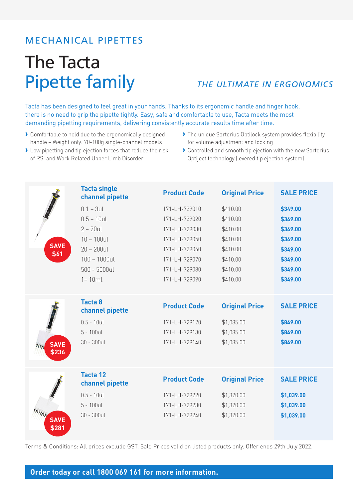## The Tacta Pipette family

*THE ULTIMATE IN ERGONOMICS*

Tacta has been designed to feel great in your hands. Thanks to its ergonomic handle and finger hook, there is no need to grip the pipette tightly. Easy, safe and comfortable to use, Tacta meets the most demanding pipetting requirements, delivering consistently accurate results time after time.

- › Comfortable to hold due to the ergonomically designed handle – Weight only: 70-100g single-channel models
- › Low pipetting and tip ejection forces that reduce the risk of RSI and Work Related Upper Limb Disorder
- › The unique Sartorius Optilock system provides flexibility for volume adjustment and locking
- › Controlled and smooth tip ejection with the new Sartorius Optiject technology (levered tip ejection system)

|                      | <b>Tacta single</b><br>channel pipette | <b>Product Code</b> | <b>Original Price</b> | <b>SALE PRICE</b> |
|----------------------|----------------------------------------|---------------------|-----------------------|-------------------|
|                      | $0.1 - 3$ ul                           | 171-LH-729010       | \$410.00              | \$349.00          |
|                      | $0.5 - 10$ ul                          | 171-LH-729020       | \$410.00              | \$349.00          |
|                      | $2 - 20$ ul                            | 171-LH-729030       | \$410.00              | \$349.00          |
|                      | $10 - 100$ ul                          | 171-LH-729050       | \$410.00              | \$349.00          |
| <b>SAVE</b><br>\$61  | $20 - 200$ ul                          | 171-LH-729060       | \$410.00              | \$349.00          |
|                      | $100 - 1000$ ul                        | 171-LH-729070       | \$410.00              | \$349.00          |
|                      | $500 - 5000$ ul                        | 171-LH-729080       | \$410.00              | \$349.00          |
|                      | $1 - 10ml$                             | 171-LH-729090       | \$410.00              | \$349.00          |
|                      |                                        |                     |                       |                   |
|                      | <b>Tacta 8</b><br>channel pipette      | <b>Product Code</b> | <b>Original Price</b> | <b>SALE PRICE</b> |
|                      | $0.5 - 10$ ul                          | 171-LH-729120       | \$1,085.00            | \$849.00          |
|                      | $5 - 100$ ul                           | 171-LH-729130       | \$1,085.00            | \$849.00          |
| <b>SAVE</b><br>\$236 | $30 - 300$ ul                          | 171-LH-729140       | \$1,085.00            | \$849.00          |
|                      |                                        |                     |                       |                   |
|                      | <b>Tacta 12</b>                        | <b>Product Code</b> | <b>Original Price</b> | <b>SALE PRICE</b> |
| <b>SAVE</b>          | channel pipette                        |                     |                       |                   |
|                      | $0.5 - 10$ ul                          | 171-LH-729220       | \$1,320.00            | \$1,039.00        |
|                      | $5 - 100$ ul                           | 171-LH-729230       | \$1,320.00            | \$1,039.00        |
|                      | $30 - 300$ ul                          | 171-LH-729240       | \$1,320.00            | \$1,039.00        |
| \$281                |                                        |                     |                       |                   |
|                      |                                        |                     |                       |                   |

Terms & Conditions: All prices exclude GST. Sale Prices valid on listed products only. Offer ends 29th July 2022.

#### **Order today or call 1800 069 161 for more information.**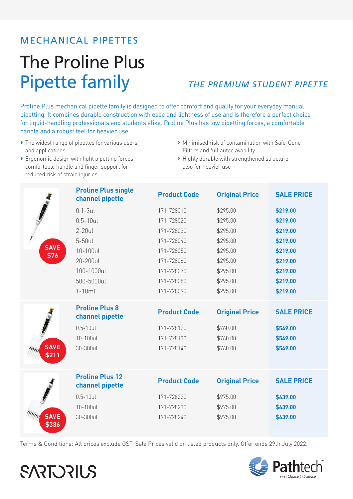## The Proline Plus **Pipette family**

#### THE PREMIUM STUDENT PIPETTE

Proline Plus mechanical pipette family is designed to offer comfort and quality for your everyday manual pipetting. It combines durable construction with ease and lightness of use and is therefore a perfect choice for liquid-handling professionals and students alike. Proline Plus has low pipetting forces, a comfortable handle and a robust feel for heavier use.

- The widest range of pipettes for various users and applications
- > Ergonomic design with light pipetting forces, comfortable handle and finger support for reduced risk of strain injuries
- Minimised risk of contamination with Safe-Cone Filters and full autoclavability
- > Highly durable with strengthened structure also for heavier use

|             | <b>Proline Plus single</b><br>channel pipette | <b>Product Code</b> | <b>Original Price</b> | <b>SALE PRICE</b> |
|-------------|-----------------------------------------------|---------------------|-----------------------|-------------------|
|             | $0.1 - 3$ ul                                  | 171-728010          | \$295.00              | \$219.00          |
|             | $0.5 - 10$ ul                                 | 171-728020          | \$295.00              | \$219.00          |
|             | $2-20$ ul                                     | 171-728030          | \$295.00              | \$219.00          |
|             | 5-50ul                                        | 171-728040          | \$295.00              | \$219.00          |
| <b>SAVE</b> | 10-100ul                                      | 171-728050          | \$295.00              | \$219.00          |
| \$76        | 20-200ul                                      | 171-728060          | \$295.00              | \$219.00          |
|             | 100-1000ul                                    | 171-728070          | \$295.00              | \$219.00          |
|             | 500-5000ul                                    | 171-728080          | \$295.00              | \$219.00          |
|             | $1-10ml$                                      | 171-728090          | \$295.00              | \$219.00          |
|             | <b>Proline Plus 8</b><br>channel pipette      | <b>Product Code</b> | <b>Original Price</b> | <b>SALE PRICE</b> |
|             | $0.5 - 10$ ul                                 | 171-728120          | \$760.00              | \$549.00          |
|             | 10-100ul                                      | 171-728130          | \$760.00              | \$549.00          |
| <b>SAVE</b> | 30-300ul                                      | 171-728140          | \$760.00              | \$549.00          |
| \$211       |                                               |                     |                       |                   |
|             | <b>Proline Plus 12</b><br>channel pipette     | <b>Product Code</b> | <b>Original Price</b> | <b>SALE PRICE</b> |
|             | $0.5 - 10$ ul                                 | 171-728220          | \$975.00              | \$639.00          |
|             | 10-100ul                                      | 171-728230          | \$975.00              | \$639.00          |
| <b>SAVE</b> | 30-300ul                                      | 171-728240          | \$975.00              | \$639.00          |
| \$336       |                                               |                     |                       |                   |

Terms & Conditions: All prices exclude GST. Sale Prices valid on listed products only. Offer ends 29th July 2022.



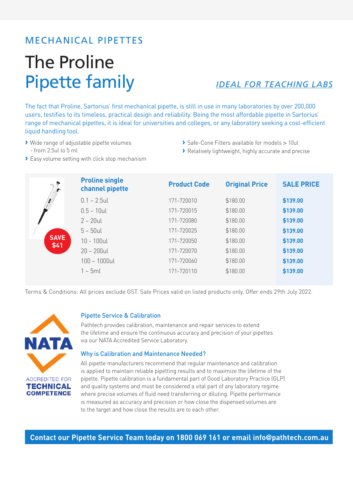## The Proline Pipette family *IDEAL FOR TEACHING LABS*

The fact that Proline, Sartorius' first mechanical pipette, is still in use in many laboratories by over 200,000 users, testifies to its timeless, practical design and reliability. Being the most affordable pipette in Sartorius' range of mechanical pipettes, it is ideal for universities and colleges, or any laboratory seeking a cost-efficient liquid handling tool.

- › Wide range of adjustable pipette volumes - from 2.5ul to 5 ml
- › Safe-Cone Filters available for models > 10ul
- › Relatively lightweight, highly accurate and precise
- › Easy volume setting with click stop mechanism

| <b>SAVE</b><br>\$41 | <b>Proline single</b><br>channel pipette | <b>Product Code</b> | <b>Original Price</b> | <b>SALE PRICE</b> |
|---------------------|------------------------------------------|---------------------|-----------------------|-------------------|
|                     | $0.1 - 2.5$ ul                           | 171-720010          | \$180.00              | \$139.00          |
|                     | $0.5 - 10$ ul                            | 171-720015          | \$180.00              | \$139.00          |
|                     | $2 - 20$ ul                              | 171-720080          | \$180.00              | \$139.00          |
|                     | $5 - 50$ ul                              | 171-720025          | \$180.00              | \$139.00          |
|                     | $10 - 100$ ul                            | 171-720050          | \$180.00              | \$139.00          |
|                     | $20 - 200$ ul                            | 171-720070          | \$180.00              | \$139.00          |
|                     | $100 - 1000$ ul                          | 171-720060          | \$180.00              | \$139.00          |
|                     | $1 - 5ml$                                | 171-720110          | \$180.00              | \$139.00          |

Terms & Conditions: All prices exclude GST. Sale Prices valid on listed products only. Offer ends 29th July 2022.



#### Pipette Service & Calibration

Pathtech provides calibration, maintenance and repair services to extend the lifetime and ensure the continuous accuracy and precision of your pipettes via our NATA Accredited Service Laboratory.

#### Why is Calibration and Maintenance Needed?

All pipette manufacturers recommend that regular maintenance and calibration is applied to maintain reliable pipetting results and to maximize the lifetime of the pipette. Pipette calibration is a fundamental part of Good Laboratory Practice (GLP) and quality systems and must be considered a vital part of any laboratory regime where precise volumes of fluid need transferring or diluting. Pipette performance is measured as accuracy and precision or how close the dispensed volumes are to the target and how close the results are to each other.